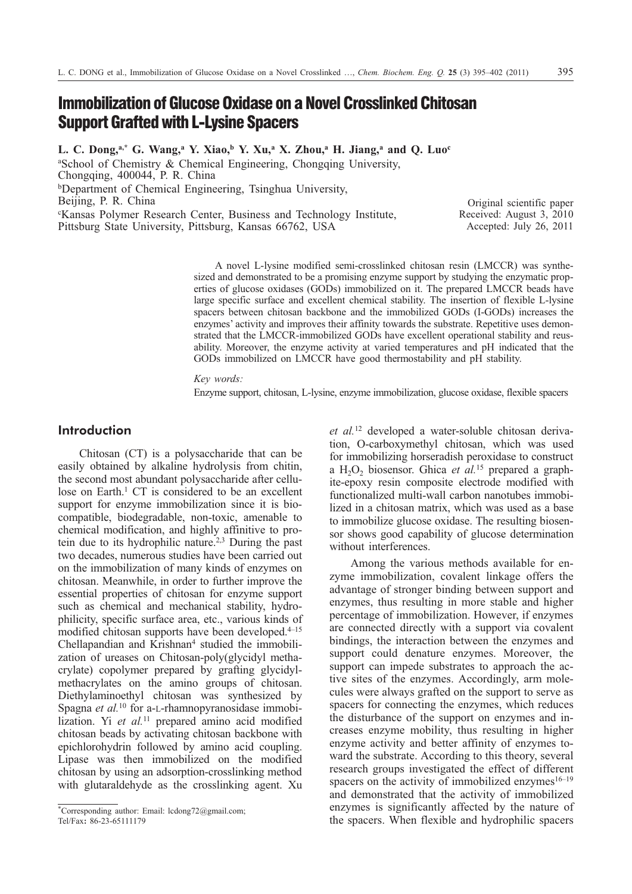# **Immobilization of Glucose Oxidase on a Novel Crosslinked Chitosan Support Grafted with L-Lysine Spacers**

**L. C. Dong,a,\* G. Wang,a Y. Xiao,b Y. Xu,a X. Zhou,a H. Jiang,a and Q. Luoc**

<sup>a</sup>School of Chemistry & Chemical Engineering, Chongqing University, Chongqing, 400044, P. R. China bDepartment of Chemical Engineering, Tsinghua University, Beijing, P. R. China c Kansas Polymer Research Center, Business and Technology Institute, Pittsburg State University, Pittsburg, Kansas 66762, USA

Original scientific paper Received: August 3, 2010 Accepted: July 26, 2011

A novel L-lysine modified semi-crosslinked chitosan resin (LMCCR) was synthesized and demonstrated to be a promising enzyme support by studying the enzymatic properties of glucose oxidases (GODs) immobilized on it. The prepared LMCCR beads have large specific surface and excellent chemical stability. The insertion of flexible L-lysine spacers between chitosan backbone and the immobilized GODs (I-GODs) increases the enzymes' activity and improves their affinity towards the substrate. Repetitive uses demonstrated that the LMCCR-immobilized GODs have excellent operational stability and reusability. Moreover, the enzyme activity at varied temperatures and pH indicated that the GODs immobilized on LMCCR have good thermostability and pH stability.

*Key words:*

Enzyme support, chitosan, L-lysine, enzyme immobilization, glucose oxidase, flexible spacers

# **Introduction**

Chitosan (CT) is a polysaccharide that can be easily obtained by alkaline hydrolysis from chitin, the second most abundant polysaccharide after cellulose on Earth.<sup>1</sup> CT is considered to be an excellent support for enzyme immobilization since it is biocompatible, biodegradable, non-toxic, amenable to chemical modification, and highly affinitive to protein due to its hydrophilic nature.2,3 During the past two decades, numerous studies have been carried out on the immobilization of many kinds of enzymes on chitosan. Meanwhile, in order to further improve the essential properties of chitosan for enzyme support such as chemical and mechanical stability, hydrophilicity, specific surface area, etc., various kinds of modified chitosan supports have been developed.<sup>4-15</sup> Chellapandian and Krishnan<sup>4</sup> studied the immobilization of ureases on Chitosan-poly(glycidyl methacrylate) copolymer prepared by grafting glycidylmethacrylates on the amino groups of chitosan. Diethylaminoethyl chitosan was synthesized by Spagna *et al.*<sup>10</sup> for a-L-rhamnopyranosidase immobilization. Yi et al.<sup>11</sup> prepared amino acid modified chitosan beads by activating chitosan backbone with epichlorohydrin followed by amino acid coupling. Lipase was then immobilized on the modified chitosan by using an adsorption-crosslinking method with glutaraldehyde as the crosslinking agent. Xu

*et al.*<sup>12</sup> developed a water-soluble chitosan derivation, O-carboxymethyl chitosan, which was used for immobilizing horseradish peroxidase to construct a  $H_2O_2$  biosensor. Ghica *et al.*<sup>15</sup> prepared a graphite-epoxy resin composite electrode modified with functionalized multi-wall carbon nanotubes immobilized in a chitosan matrix, which was used as a base to immobilize glucose oxidase. The resulting biosensor shows good capability of glucose determination without interferences.

Among the various methods available for enzyme immobilization, covalent linkage offers the advantage of stronger binding between support and enzymes, thus resulting in more stable and higher percentage of immobilization. However, if enzymes are connected directly with a support via covalent bindings, the interaction between the enzymes and support could denature enzymes. Moreover, the support can impede substrates to approach the active sites of the enzymes. Accordingly, arm molecules were always grafted on the support to serve as spacers for connecting the enzymes, which reduces the disturbance of the support on enzymes and increases enzyme mobility, thus resulting in higher enzyme activity and better affinity of enzymes toward the substrate. According to this theory, several research groups investigated the effect of different spacers on the activity of immobilized enzymes $16-19$ and demonstrated that the activity of immobilized enzymes is significantly affected by the nature of the spacers. When flexible and hydrophilic spacers

<sup>\*</sup>Corresponding author: Email: lcdong72@gmail.com; Tel/Fax**:** 86-23-65111179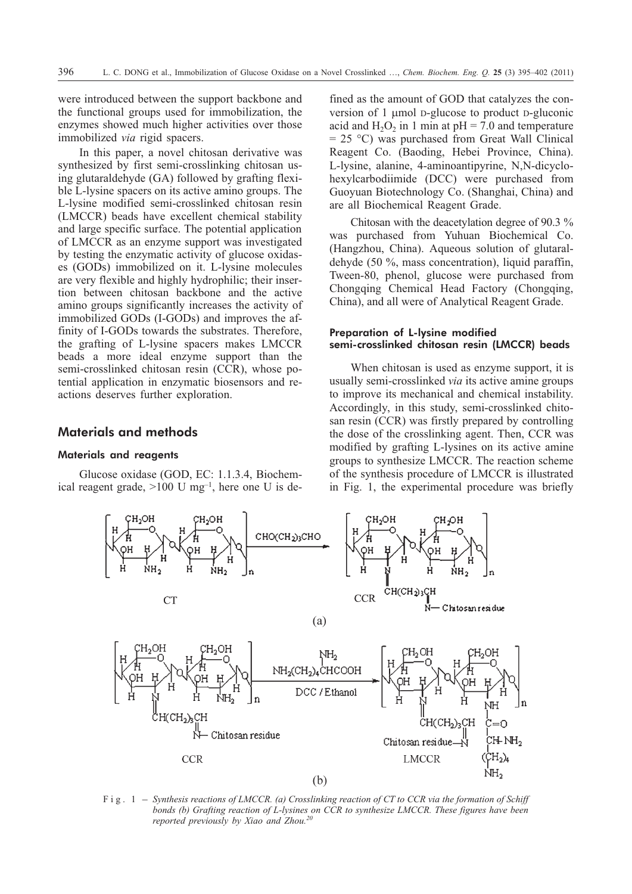were introduced between the support backbone and the functional groups used for immobilization, the enzymes showed much higher activities over those immobilized *via* rigid spacers.

In this paper, a novel chitosan derivative was synthesized by first semi-crosslinking chitosan using glutaraldehyde (GA) followed by grafting flexible L-lysine spacers on its active amino groups. The L-lysine modified semi-crosslinked chitosan resin (LMCCR) beads have excellent chemical stability and large specific surface. The potential application of LMCCR as an enzyme support was investigated by testing the enzymatic activity of glucose oxidases (GODs) immobilized on it. L-lysine molecules are very flexible and highly hydrophilic; their insertion between chitosan backbone and the active amino groups significantly increases the activity of immobilized GODs (I-GODs) and improves the affinity of I-GODs towards the substrates. Therefore, the grafting of L-lysine spacers makes LMCCR beads a more ideal enzyme support than the semi-crosslinked chitosan resin (CCR), whose potential application in enzymatic biosensors and reactions deserves further exploration.

# **Materials and methods**

## Materials and reagents

Glucose oxidase (GOD, EC: 1.1.3.4, Biochemical reagent grade,  $>100$  U mg<sup>-1</sup>, here one U is defined as the amount of GOD that catalyzes the conversion of 1 µmol D-glucose to product D-gluconic acid and  $H_2O_2$  in 1 min at pH = 7.0 and temperature  $= 25$  °C) was purchased from Great Wall Clinical Reagent Co. (Baoding, Hebei Province, China). L-lysine, alanine, 4-aminoantipyrine, N,N-dicyclohexylcarbodiimide (DCC) were purchased from Guoyuan Biotechnology Co. (Shanghai, China) and are all Biochemical Reagent Grade.

Chitosan with the deacetylation degree of 90.3 % was purchased from Yuhuan Biochemical Co. (Hangzhou, China). Aqueous solution of glutaraldehyde (50 %, mass concentration), liquid paraffin, Tween-80, phenol, glucose were purchased from Chongqing Chemical Head Factory (Chongqing, China), and all were of Analytical Reagent Grade.

## Preparation of **L-lysine modified semi-crosslinked chitosan resin (LMCCR) beads**

When chitosan is used as enzyme support, it is usually semi-crosslinked *via* its active amine groups to improve its mechanical and chemical instability. Accordingly, in this study, semi-crosslinked chitosan resin (CCR) was firstly prepared by controlling the dose of the crosslinking agent. Then, CCR was modified by grafting L-lysines on its active amine groups to synthesize LMCCR. The reaction scheme of the synthesis procedure of LMCCR is illustrated in Fig. 1, the experimental procedure was briefly



*bonds (b) Grafting reaction of L-lysines on CCR to synthesize LMCCR. These figures have been reported previously by Xiao and Zhou.20*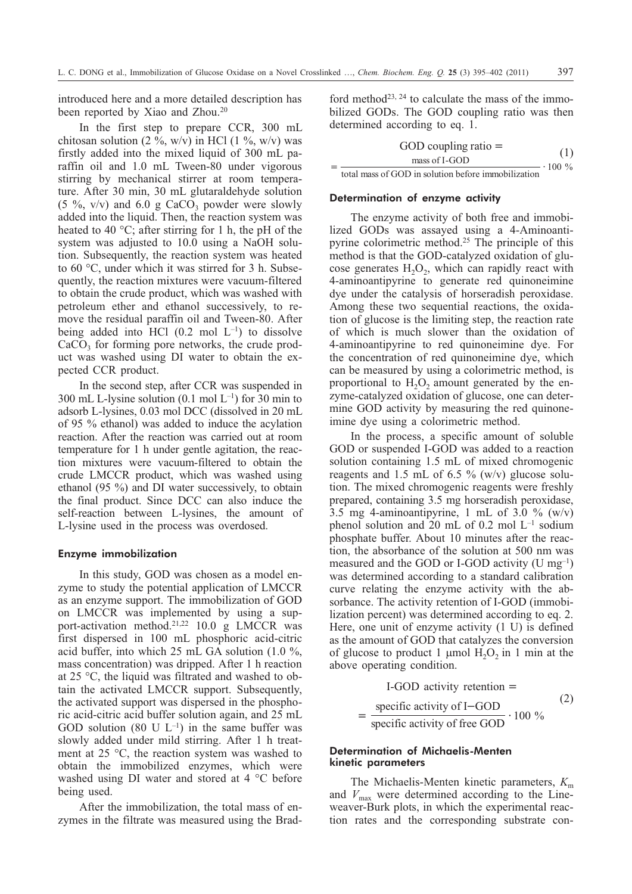introduced here and a more detailed description has been reported by Xiao and Zhou.<sup>20</sup>

In the first step to prepare CCR, 300 mL chitosan solution (2 %, w/v) in HCl (1 %, w/v) was firstly added into the mixed liquid of 300 mL paraffin oil and 1.0 mL Tween-80 under vigorous stirring by mechanical stirrer at room temperature. After 30 min, 30 mL glutaraldehyde solution (5 %, v/v) and 6.0 g CaCO<sub>3</sub> powder were slowly added into the liquid. Then, the reaction system was heated to 40 °C; after stirring for 1 h, the pH of the system was adjusted to 10.0 using a NaOH solution. Subsequently, the reaction system was heated to 60 °C, under which it was stirred for 3 h. Subsequently, the reaction mixtures were vacuum-filtered to obtain the crude product, which was washed with petroleum ether and ethanol successively, to remove the residual paraffin oil and Tween-80. After being added into HCl  $(0.2 \text{ mol } L^{-1})$  to dissolve  $CaCO<sub>3</sub>$  for forming pore networks, the crude product was washed using DI water to obtain the expected CCR product.

In the second step, after CCR was suspended in 300 mL L-lysine solution  $(0.1 \text{ mol } L^{-1})$  for 30 min to adsorb L-lysines, 0.03 mol DCC (dissolved in 20 mL of 95 % ethanol) was added to induce the acylation reaction. After the reaction was carried out at room temperature for 1 h under gentle agitation, the reaction mixtures were vacuum-filtered to obtain the crude LMCCR product, which was washed using ethanol (95 %) and DI water successively, to obtain the final product. Since DCC can also induce the self-reaction between L-lysines, the amount of L-lysine used in the process was overdosed.

#### Enzyme immobilization

In this study, GOD was chosen as a model enzyme to study the potential application of LMCCR as an enzyme support. The immobilization of GOD on LMCCR was implemented by using a support-activation method.<sup>21,22</sup> 10.0 g LMCCR was first dispersed in 100 mL phosphoric acid-citric acid buffer, into which 25 mL GA solution (1.0 %, mass concentration) was dripped. After 1 h reaction at 25 °C, the liquid was filtrated and washed to obtain the activated LMCCR support. Subsequently, the activated support was dispersed in the phosphoric acid-citric acid buffer solution again, and 25 mL GOD solution (80 U  $L^{-1}$ ) in the same buffer was slowly added under mild stirring. After 1 h treatment at 25 °C, the reaction system was washed to obtain the immobilized enzymes, which were washed using DI water and stored at 4 °C before being used.

After the immobilization, the total mass of enzymes in the filtrate was measured using the Bradford method<sup>23, 24</sup> to calculate the mass of the immobilized GODs. The GOD coupling ratio was then determined according to eq. 1.

$$
GOD coupling ratio =
$$
\n
$$
= \frac{\text{mass of I-GOD}}{\text{total mass of GOD in solution before immobilization}} \cdot 100\%
$$

-

#### Determination of enzyme activity

The enzyme activity of both free and immobilized GODs was assayed using a 4-Aminoantipyrine colorimetric method.25 The principle of this method is that the GOD-catalyzed oxidation of glucose generates  $H_2O_2$ , which can rapidly react with 4-aminoantipyrine to generate red quinoneimine dye under the catalysis of horseradish peroxidase. Among these two sequential reactions, the oxidation of glucose is the limiting step, the reaction rate of which is much slower than the oxidation of 4-aminoantipyrine to red quinoneimine dye. For the concentration of red quinoneimine dye, which can be measured by using a colorimetric method, is proportional to  $H_2O_2$  amount generated by the enzyme-catalyzed oxidation of glucose, one can determine GOD activity by measuring the red quinoneimine dye using a colorimetric method.

In the process, a specific amount of soluble GOD or suspended I-GOD was added to a reaction solution containing 1.5 mL of mixed chromogenic reagents and 1.5 mL of 6.5 % (w/v) glucose solution. The mixed chromogenic reagents were freshly prepared, containing 3.5 mg horseradish peroxidase, 3.5 mg 4-aminoantipyrine, 1 mL of 3.0 %  $(w/v)$ phenol solution and 20 mL of 0.2 mol  $L^{-1}$  sodium phosphate buffer. About 10 minutes after the reaction, the absorbance of the solution at 500 nm was measured and the GOD or I-GOD activity (U mg–1) was determined according to a standard calibration curve relating the enzyme activity with the absorbance. The activity retention of I-GOD (immobilization percent) was determined according to eq. 2. Here, one unit of enzyme activity (1 U) is defined as the amount of GOD that catalyzes the conversion of glucose to product 1  $\mu$ mol H<sub>2</sub>O<sub>2</sub> in 1 min at the above operating condition.

$$
I\text{-GOD activity retention} =
$$
\n
$$
= \frac{\text{specific activity of I-GOD}}{\text{specific activity of free GOD}} \cdot 100 \%
$$
\n
$$
(2)
$$

# Determination of Michaelis-Menten kinetic parameters

The Michaelis-Menten kinetic parameters,  $K<sub>m</sub>$ and  $V_{\text{max}}$  were determined according to the Lineweaver-Burk plots, in which the experimental reaction rates and the corresponding substrate con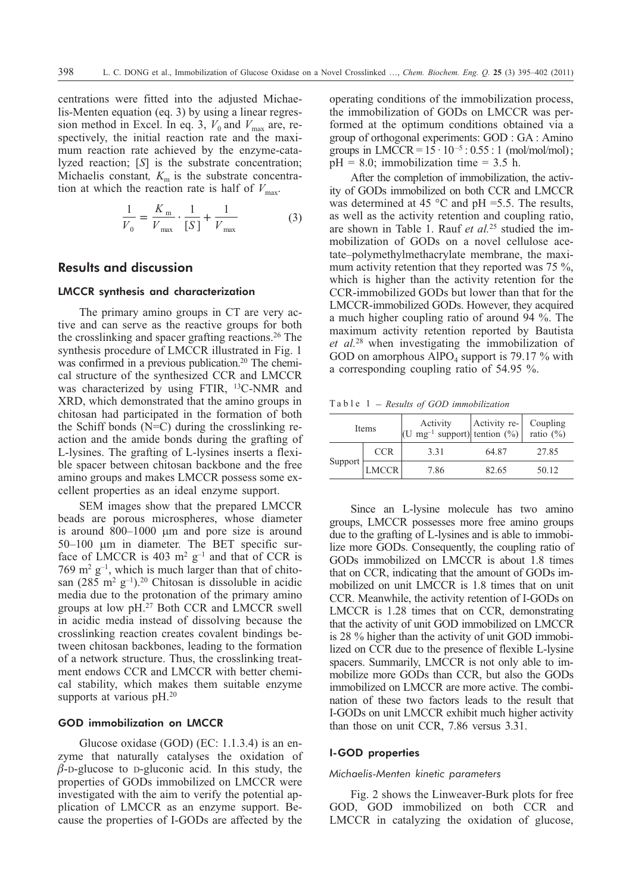centrations were fitted into the adjusted Michaelis-Menten equation (eq. 3) by using a linear regression method in Excel. In eq. 3,  $V_0$  and  $V_{\text{max}}$  are, respectively, the initial reaction rate and the maximum reaction rate achieved by the enzyme-catalyzed reaction; [*S*] is the substrate concentration; Michaelis constant,  $K<sub>m</sub>$  is the substrate concentration at which the reaction rate is half of  $V_{\text{max}}$ .

$$
\frac{1}{V_0} = \frac{K_{\text{m}}}{V_{\text{max}}} \cdot \frac{1}{[S]} + \frac{1}{V_{\text{max}}}
$$
(3)

# **Results and discussion**

## LMCCR synthesis and characterization

The primary amino groups in CT are very active and can serve as the reactive groups for both the crosslinking and spacer grafting reactions.26 The synthesis procedure of LMCCR illustrated in Fig. 1 was confirmed in a previous publication.<sup>20</sup> The chemical structure of the synthesized CCR and LMCCR was characterized by using FTIR, 13C-NMR and XRD, which demonstrated that the amino groups in chitosan had participated in the formation of both the Schiff bonds (N=C) during the crosslinking reaction and the amide bonds during the grafting of L-lysines. The grafting of L-lysines inserts a flexible spacer between chitosan backbone and the free amino groups and makes LMCCR possess some excellent properties as an ideal enzyme support.

SEM images show that the prepared LMCCR beads are porous microspheres, whose diameter is around  $800-1000$  µm and pore size is around  $50-100$   $\mu$ m in diameter. The BET specific surface of LMCCR is 403  $m^2$  g<sup>-1</sup> and that of CCR is 769 m<sup>2</sup> g<sup>-1</sup>, which is much larger than that of chitosan  $(285 \text{ m}^2 \text{ g}^{-1})$ .<sup>20</sup> Chitosan is dissoluble in acidic media due to the protonation of the primary amino groups at low pH.27 Both CCR and LMCCR swell in acidic media instead of dissolving because the crosslinking reaction creates covalent bindings between chitosan backbones, leading to the formation of a network structure. Thus, the crosslinking treatment endows CCR and LMCCR with better chemical stability, which makes them suitable enzyme supports at various pH.<sup>20</sup>

#### GOD immobilization on LMCCR

Glucose oxidase (GOD) (EC: 1.1.3.4) is an enzyme that naturally catalyses the oxidation of  $\beta$ -D-glucose to D-gluconic acid. In this study, the properties of GODs immobilized on LMCCR were investigated with the aim to verify the potential application of LMCCR as an enzyme support. Because the properties of I-GODs are affected by the operating conditions of the immobilization process, the immobilization of GODs on LMCCR was performed at the optimum conditions obtained via a group of orthogonal experiments: GOD : GA : Amino groups in LMCCR =  $15 \cdot 10^{-5}$ : 0.55: 1 (mol/mol/mol);  $pH = 8.0$ ; immobilization time = 3.5 h.

After the completion of immobilization, the activity of GODs immobilized on both CCR and LMCCR was determined at 45  $^{\circ}$ C and pH =5.5. The results, as well as the activity retention and coupling ratio, are shown in Table 1. Rauf *et al.*<sup>25</sup> studied the immobilization of GODs on a novel cellulose acetate–polymethylmethacrylate membrane, the maximum activity retention that they reported was 75 %, which is higher than the activity retention for the CCR-immobilized GODs but lower than that for the LMCCR-immobilized GODs. However, they acquired a much higher coupling ratio of around 94 %. The maximum activity retention reported by Bautista *et al.*<sup>28</sup> when investigating the immobilization of GOD on amorphous  $A_1PO_4$  support is 79.17 % with a corresponding coupling ratio of 54.95 %. Table 1 – *Results of GOD immobilization*

| Items   |              | Activity $\begin{vmatrix} \text{Activity} \\ \text{U} \text{ mg}^{-1} \text{ support} \end{vmatrix}$ tention (%) attio (%) |       | Coupling |
|---------|--------------|----------------------------------------------------------------------------------------------------------------------------|-------|----------|
| Support | <b>CCR</b>   | 3.31                                                                                                                       | 64.87 | 27.85    |
|         | <b>LMCCR</b> | 7.86                                                                                                                       | 82.65 | 50.12    |

Since an L-lysine molecule has two amino groups, LMCCR possesses more free amino groups due to the grafting of L-lysines and is able to immobilize more GODs. Consequently, the coupling ratio of GODs immobilized on LMCCR is about 1.8 times that on CCR, indicating that the amount of GODs immobilized on unit LMCCR is 1.8 times that on unit CCR. Meanwhile, the activity retention of I-GODs on LMCCR is 1.28 times that on CCR, demonstrating that the activity of unit GOD immobilized on LMCCR is 28 % higher than the activity of unit GOD immobilized on CCR due to the presence of flexible L-lysine spacers. Summarily, LMCCR is not only able to immobilize more GODs than CCR, but also the GODs immobilized on LMCCR are more active. The combination of these two factors leads to the result that I-GODs on unit LMCCR exhibit much higher activity than those on unit CCR, 7.86 versus 3.31.

## I-GOD properties

#### *Michaelis-Menten kinetic parameters*

Fig. 2 shows the Linweaver-Burk plots for free GOD, GOD immobilized on both CCR and LMCCR in catalyzing the oxidation of glucose,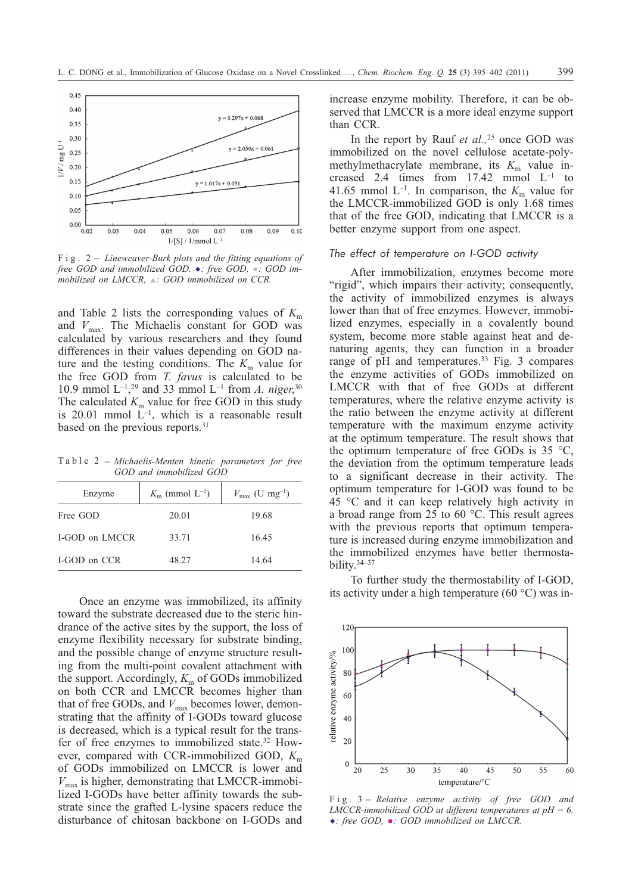

free GOD and immobilized GOD.  $\bullet$ : free GOD,  $\blacksquare$ : GOD im*mobilized on LMCCR,* ▲: GOD immobilized on CCR.

and Table 2 lists the corresponding values of  $K<sub>m</sub>$ and  $V_{\text{max}}$ . The Michaelis constant for GOD was calculated by various researchers and they found differences in their values depending on GOD nature and the testing conditions. The  $K<sub>m</sub>$  value for the free GOD from *T. favus* is calculated to be 10.9 mmol  $L^{-1}$ , <sup>29</sup> and 33 mmol  $L^{-1}$  from *A. niger*,<sup>30</sup> The calculated  $K<sub>m</sub>$  value for free GOD in this study is 20.01 mmol  $\mathbf{L}^{-1}$ , which is a reasonable result based on the previous reports.31

Table 2 – *Michaelis-Menten kinetic parameters for free GOD and immobilized GOD*

| Enzyme                | $K_{\rm m}$ (mmol $L^{-1}$ ) | $V_{\text{max}}$ (U mg <sup>-1</sup> ) |  |
|-----------------------|------------------------------|----------------------------------------|--|
| Free GOD              | 20.01                        | 19.68                                  |  |
| <b>I-GOD on LMCCR</b> | 33.71                        | 16.45                                  |  |
| <b>I-GOD</b> on CCR   | 48.27                        | 14.64                                  |  |

Once an enzyme was immobilized, its affinity toward the substrate decreased due to the steric hindrance of the active sites by the support, the loss of enzyme flexibility necessary for substrate binding, and the possible change of enzyme structure resulting from the multi-point covalent attachment with the support. Accordingly,  $K<sub>m</sub>$  of GODs immobilized on both CCR and LMCCR becomes higher than that of free GODs, and  $V_{\text{max}}$  becomes lower, demonstrating that the affinity of I-GODs toward glucose is decreased, which is a typical result for the transfer of free enzymes to immobilized state.32 However, compared with CCR-immobilized GOD,  $K<sub>m</sub>$ of GODs immobilized on LMCCR is lower and  $V_{\text{max}}$  is higher, demonstrating that LMCCR-immobilized I-GODs have better affinity towards the substrate since the grafted L-lysine spacers reduce the disturbance of chitosan backbone on I-GODs and increase enzyme mobility. Therefore, it can be observed that LMCCR is a more ideal enzyme support than CCR.

In the report by Rauf *et al.,*<sup>25</sup> once GOD was immobilized on the novel cellulose acetate-polymethylmethacrylate membrane, its  $K<sub>m</sub>$  value increased 2.4 times from  $17.42$  mmol  $L^{-1}$  to 41.65 mmol  $L^{-1}$ . In comparison, the  $K<sub>m</sub>$  value for the LMCCR-immobilized GOD is only 1.68 times that of the free GOD, indicating that LMCCR is a better enzyme support from one aspect.

#### *The effect of temperature on I-GOD activity*

After immobilization, enzymes become more "rigid", which impairs their activity; consequently, the activity of immobilized enzymes is always lower than that of free enzymes. However, immobilized enzymes, especially in a covalently bound system, become more stable against heat and denaturing agents, they can function in a broader range of pH and temperatures.<sup>33</sup> Fig. 3 compares the enzyme activities of GODs immobilized on LMCCR with that of free GODs at different temperatures, where the relative enzyme activity is the ratio between the enzyme activity at different temperature with the maximum enzyme activity at the optimum temperature. The result shows that the optimum temperature of free GODs is  $35 \text{ °C}$ , the deviation from the optimum temperature leads to a significant decrease in their activity. The optimum temperature for I-GOD was found to be 45 °C and it can keep relatively high activity in a broad range from 25 to 60 °C. This result agrees with the previous reports that optimum temperature is increased during enzyme immobilization and the immobilized enzymes have better thermostability.34–37

To further study the thermostability of I-GOD, its activity under a high temperature (60 °C) was in-



*LMCCR-immobilized GOD at different temperatures at pH = 6. -: free GOD,* -*: GOD immobilized on LMCCR.*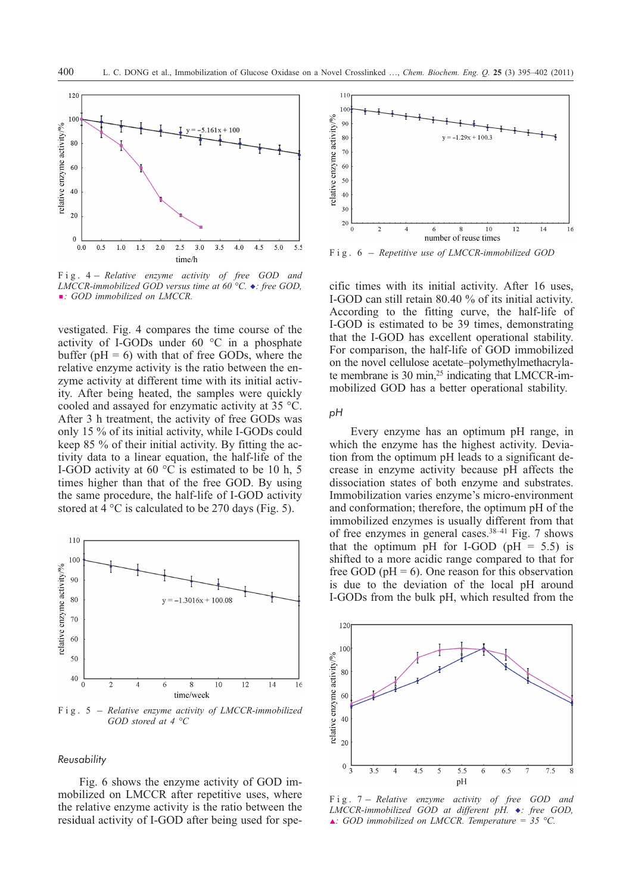

*LMCCR-immobilized GOD versus time at 60 °C. -: free GOD,*  $\blacksquare$ : GOD immobilized on LMCCR.

vestigated. Fig. 4 compares the time course of the activity of I-GODs under 60 °C in a phosphate buffer ( $pH = 6$ ) with that of free GODs, where the relative enzyme activity is the ratio between the enzyme activity at different time with its initial activity. After being heated, the samples were quickly cooled and assayed for enzymatic activity at 35 °C. After 3 h treatment, the activity of free GODs was only 15 % of its initial activity, while I-GODs could keep 85 % of their initial activity. By fitting the activity data to a linear equation, the half-life of the I-GOD activity at 60 °C is estimated to be 10 h, 5 times higher than that of the free GOD. By using the same procedure, the half-life of I-GOD activity stored at  $\hat{4}$  °C is calculated to be 270 days (Fig. 5).



*GOD stored at 4 °C*

## *Reusability*

Fig. 6 shows the enzyme activity of GOD immobilized on LMCCR after repetitive uses, where the relative enzyme activity is the ratio between the residual activity of I-GOD after being used for spe-



cific times with its initial activity. After 16 uses, I-GOD can still retain 80.40 % of its initial activity. According to the fitting curve, the half-life of I-GOD is estimated to be 39 times, demonstrating that the I-GOD has excellent operational stability. For comparison, the half-life of GOD immobilized on the novel cellulose acetate–polymethylmethacrylate membrane is 30 min, $^{25}$  indicating that LMCCR-immobilized GOD has a better operational stability.

*pH*

Every enzyme has an optimum pH range, in which the enzyme has the highest activity. Deviation from the optimum pH leads to a significant decrease in enzyme activity because pH affects the dissociation states of both enzyme and substrates. Immobilization varies enzyme's micro-environment and conformation; therefore, the optimum pH of the immobilized enzymes is usually different from that of free enzymes in general cases. $38-41$  Fig. 7 shows that the optimum pH for I-GOD (pH  $= 5.5$ ) is shifted to a more acidic range compared to that for free GOD ( $pH = 6$ ). One reason for this observation is due to the deviation of the local pH around I-GODs from the bulk pH, which resulted from the



*LMCCR-immobilized GOD at different pH. ◆: free GOD,*  $\triangle$ : GOD immobilized on LMCCR. Temperature = 35 °C.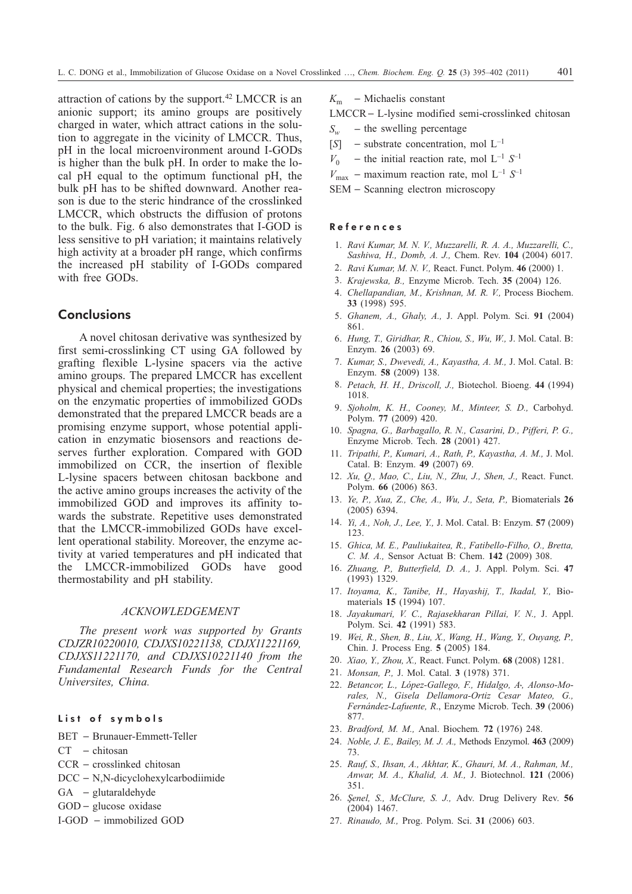attraction of cations by the support.42 LMCCR is an anionic support; its amino groups are positively charged in water, which attract cations in the solution to aggregate in the vicinity of LMCCR. Thus, pH in the local microenvironment around I-GODs is higher than the bulk pH. In order to make the local pH equal to the optimum functional pH, the bulk pH has to be shifted downward. Another reason is due to the steric hindrance of the crosslinked LMCCR, which obstructs the diffusion of protons to the bulk. Fig. 6 also demonstrates that I-GOD is less sensitive to pH variation; it maintains relatively high activity at a broader pH range, which confirms the increased pH stability of I-GODs compared with free GODs.

# **Conclusions**

A novel chitosan derivative was synthesized by first semi-crosslinking CT using GA followed by grafting flexible L-lysine spacers via the active amino groups. The prepared LMCCR has excellent physical and chemical properties; the investigations on the enzymatic properties of immobilized GODs demonstrated that the prepared LMCCR beads are a promising enzyme support, whose potential application in enzymatic biosensors and reactions deserves further exploration. Compared with GOD immobilized on CCR, the insertion of flexible L-lysine spacers between chitosan backbone and the active amino groups increases the activity of the immobilized GOD and improves its affinity towards the substrate. Repetitive uses demonstrated that the LMCCR-immobilized GODs have excellent operational stability. Moreover, the enzyme activity at varied temperatures and pH indicated that the LMCCR-immobilized GODs have good thermostability and pH stability.

# *ACKNOWLEDGEMENT*

*The present work was supported by Grants CDJZR10220010, CDJXS10221138, CDJX11221169, CDJXS11221170, and CDJXS10221140 from the Fundamental Research Funds for the Central Universites, China.*

# List of symbols

BET - Brunauer-Emmett-Teller

- $CT$  chitosan
- $CCR crosslinked$  chitosan
- DCC N,N-dicyclohexylcarbodiimide
- $GA glutaraldehyde$
- $GOD -$  glucose oxidase
- I-GOD immobilized GOD

 $K<sub>m</sub>$  – Michaelis constant

LMCCR L-lysine modified semi-crosslinked chitosan

- $S_w$  the swelling percentage
- [*S*]  $-$  substrate concentration, mol  $L^{-1}$
- $V_0$  the initial reaction rate, mol  $L^{-1} S^{-1}$
- $V_{\text{max}}$  maximum reaction rate, mol L<sup>-1</sup> *S*<sup>-1</sup>
- SEM Scanning electron microscopy

#### References

- 1. *Ravi Kumar, M. N. V., Muzzarelli, R. A. A., Muzzarelli, C., Sashiwa, H., Domb, A. J.,* Chem. Rev. **104** (2004) 6017.
- 2. *Ravi Kumar, M. N. V.,* React. Funct. Polym. **46** (2000) 1.
- 3. *Krajewska, B.,* Enzyme Microb. Tech. **35** (2004) 126.
- 4. *Chellapandian, M., Krishnan, M. R. V.,* Process Biochem. **33** (1998) 595.
- 5. *Ghanem, A., Ghaly, A.,* J. Appl. Polym. Sci. **91** (2004) 861.
- 6. *Hung, T., Giridhar, R., Chiou, S., Wu, W.,* J. Mol. Catal. B: Enzym. **26** (2003) 69.
- 7. *Kumar, S., Dwevedi, A., Kayastha, A. M.,* J. Mol. Catal. B: Enzym. **58** (2009) 138.
- 8. *Petach, H. H., Driscoll, J.,* Biotechol. Bioeng. **44** (1994) 1018.
- 9. *Sjoholm, K. H., Cooney, M., Minteer, S. D.,* Carbohyd. Polym. **77** (2009) 420.
- 10. *Spagna, G., Barbagallo, R. N., Casarini, D., Pifferi, P. G.,* Enzyme Microb. Tech. **28** (2001) 427.
- 11. *Tripathi, P., Kumari, A., Rath, P., Kayastha, A. M.,* J. Mol. Catal. B: Enzym. **49** (2007) 69.
- 12. *Xu, Q., Mao, C., Liu, N., Zhu, J., Shen, J.,* React. Funct. Polym. **66** (2006) 863.
- 13. *Ye, P., Xua, Z., Che, A., Wu, J., Seta, P.,* Biomaterials **26** (2005) 6394.
- 14. *Yi, A., Noh, J., Lee, Y.,* J. Mol. Catal. B: Enzym. **57** (2009) 123.
- 15. *Ghica, M. E., Pauliukaitea, R., Fatibello-Filho, O., Bretta, C. M. A.,* Sensor Actuat B: Chem. **142** (2009) 308.
- 16. *Zhuang, P., Butterfield, D. A.,* J. Appl. Polym. Sci. **47** (1993) 1329.
- 17. *Itoyama, K., Tanibe, H., Hayashij, T., Ikadal, Y.,* Biomaterials **15** (1994) 107.
- 18. *Jayakumari, V. C., Rajasekharan Pillai, V. N.,* J. Appl. Polym. Sci. **42** (1991) 583.
- 19. *Wei, R., Shen, B., Liu, X., Wang, H., Wang, Y., Ouyang, P.,* Chin. J. Process Eng. **5** (2005) 184.
- 20. *Xiao, Y., Zhou, X.,* React. Funct. Polym. **68** (2008) 1281.
- 21. *Monsan, P.,* J. Mol. Catal. **3** (1978) 371.
- 22. *Betancor, L., López-Gallego, F., Hidalgo, A. , Alonso-Morales, N., Gisela Dellamora-Ortiz Cesar Mateo, G., Fernández-Lafuente, R*., Enzyme Microb. Tech. **39** (2006) 877.
- 23. *Bradford, M. M.,* Anal. Biochem*.* **72** (1976) 248.
- 24. *Noble, J. E., Bailey, M. J. A.,* Methods Enzymol. **463** (2009) 73.
- 25. *Rauf, S., Ihsan, A., Akhtar, K., Ghauri, M. A., Rahman, M., Anwar, M. A., Khalid, A. M.,* J. Biotechnol. **121** (2006) 351.
- 26. *Şenel, S., McClure, S. J., Adv. Drug Delivery Rev.* 56 (2004) 1467.
- 27. *Rinaudo, M.,* Prog. Polym. Sci. **31** (2006) 603.